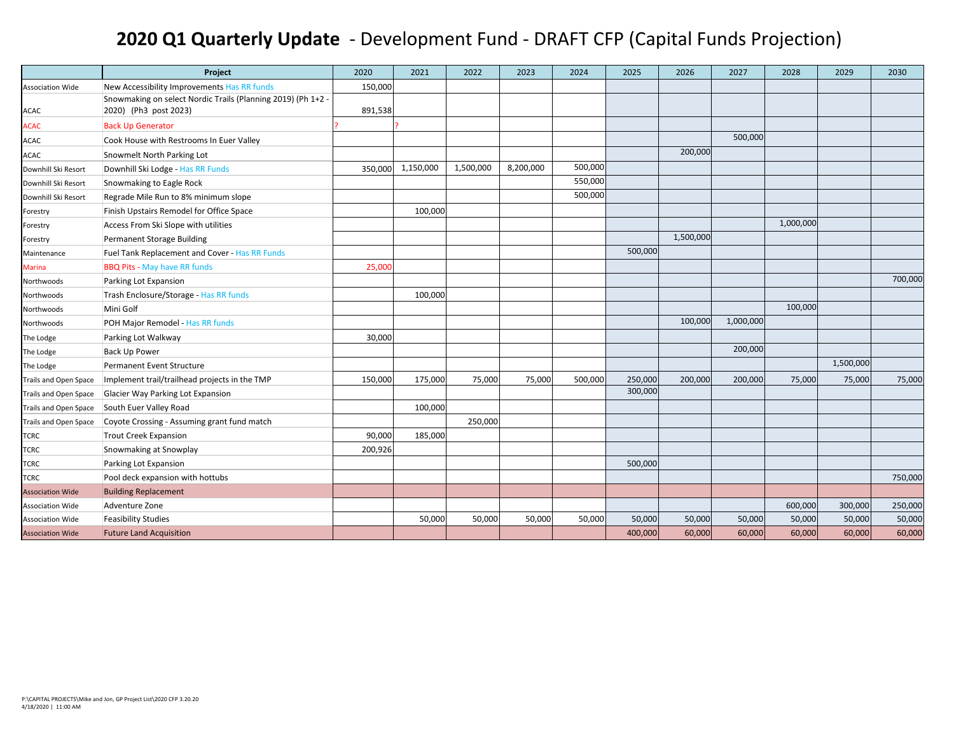## **2020 Q1 Quarterly Update** ‐ Development Fund ‐ DRAFT CFP (Capital Funds Projection)

|                              | Project                                                      | 2020    | 2021      | 2022      | 2023      | 2024    | 2025    | 2026      | 2027      | 2028      | 2029      | 2030    |
|------------------------------|--------------------------------------------------------------|---------|-----------|-----------|-----------|---------|---------|-----------|-----------|-----------|-----------|---------|
| <b>Association Wide</b>      | New Accessibility Improvements Has RR funds                  | 150,000 |           |           |           |         |         |           |           |           |           |         |
|                              | Snowmaking on select Nordic Trails (Planning 2019) (Ph 1+2 - |         |           |           |           |         |         |           |           |           |           |         |
| ACAC                         | 2020) (Ph3 post 2023)                                        | 891,538 |           |           |           |         |         |           |           |           |           |         |
| <b>ACAC</b>                  | <b>Back Up Generator</b>                                     |         |           |           |           |         |         |           |           |           |           |         |
| <b>ACAC</b>                  | Cook House with Restrooms In Euer Valley                     |         |           |           |           |         |         |           | 500,000   |           |           |         |
| ACAC                         | Snowmelt North Parking Lot                                   |         |           |           |           |         |         | 200,000   |           |           |           |         |
| Downhill Ski Resort          | Downhill Ski Lodge - Has RR Funds                            | 350,000 | 1,150,000 | 1,500,000 | 8,200,000 | 500,000 |         |           |           |           |           |         |
| Downhill Ski Resort          | Snowmaking to Eagle Rock                                     |         |           |           |           | 550,000 |         |           |           |           |           |         |
| Downhill Ski Resort          | Regrade Mile Run to 8% minimum slope                         |         |           |           |           | 500,000 |         |           |           |           |           |         |
| Forestry                     | Finish Upstairs Remodel for Office Space                     |         | 100,000   |           |           |         |         |           |           |           |           |         |
| Forestry                     | Access From Ski Slope with utilities                         |         |           |           |           |         |         |           |           | 1,000,000 |           |         |
| Forestry                     | Permanent Storage Building                                   |         |           |           |           |         |         | 1,500,000 |           |           |           |         |
| Maintenance                  | Fuel Tank Replacement and Cover - Has RR Funds               |         |           |           |           |         | 500,000 |           |           |           |           |         |
| <b>Marina</b>                | <b>BBQ Pits - May have RR funds</b>                          | 25,000  |           |           |           |         |         |           |           |           |           |         |
| Northwoods                   | Parking Lot Expansion                                        |         |           |           |           |         |         |           |           |           |           | 700,000 |
| Northwoods                   | Trash Enclosure/Storage - Has RR funds                       |         | 100,000   |           |           |         |         |           |           |           |           |         |
| Northwoods                   | Mini Golf                                                    |         |           |           |           |         |         |           |           | 100,000   |           |         |
| Northwoods                   | POH Major Remodel - Has RR funds                             |         |           |           |           |         |         | 100,000   | 1,000,000 |           |           |         |
| The Lodge                    | Parking Lot Walkway                                          | 30,000  |           |           |           |         |         |           |           |           |           |         |
| The Lodge                    | <b>Back Up Power</b>                                         |         |           |           |           |         |         |           | 200,000   |           |           |         |
| The Lodge                    | Permanent Event Structure                                    |         |           |           |           |         |         |           |           |           | 1,500,000 |         |
| Trails and Open Space        | Implement trail/trailhead projects in the TMP                | 150,000 | 175,000   | 75,000    | 75,000    | 500,000 | 250,000 | 200,000   | 200,000   | 75,000    | 75,000    | 75,000  |
| Trails and Open Space        | Glacier Way Parking Lot Expansion                            |         |           |           |           |         | 300,000 |           |           |           |           |         |
| <b>Trails and Open Space</b> | South Euer Valley Road                                       |         | 100,000   |           |           |         |         |           |           |           |           |         |
| Trails and Open Space        | Coyote Crossing - Assuming grant fund match                  |         |           | 250,000   |           |         |         |           |           |           |           |         |
| <b>TCRC</b>                  | <b>Trout Creek Expansion</b>                                 | 90,000  | 185,000   |           |           |         |         |           |           |           |           |         |
| <b>TCRC</b>                  | Snowmaking at Snowplay                                       | 200,926 |           |           |           |         |         |           |           |           |           |         |
| <b>TCRC</b>                  | Parking Lot Expansion                                        |         |           |           |           |         | 500,000 |           |           |           |           |         |
| TCRC                         | Pool deck expansion with hottubs                             |         |           |           |           |         |         |           |           |           |           | 750,000 |
| <b>Association Wide</b>      | <b>Building Replacement</b>                                  |         |           |           |           |         |         |           |           |           |           |         |
| <b>Association Wide</b>      | Adventure Zone                                               |         |           |           |           |         |         |           |           | 600,000   | 300,000   | 250,000 |
| <b>Association Wide</b>      | <b>Feasibility Studies</b>                                   |         | 50,000    | 50,000    | 50,000    | 50,000  | 50,000  | 50,000    | 50,000    | 50,000    | 50,000    | 50,000  |
| <b>Association Wide</b>      | <b>Future Land Acquisition</b>                               |         |           |           |           |         | 400,000 | 60,000    | 60,000    | 60,000    | 60,000    | 60,000  |